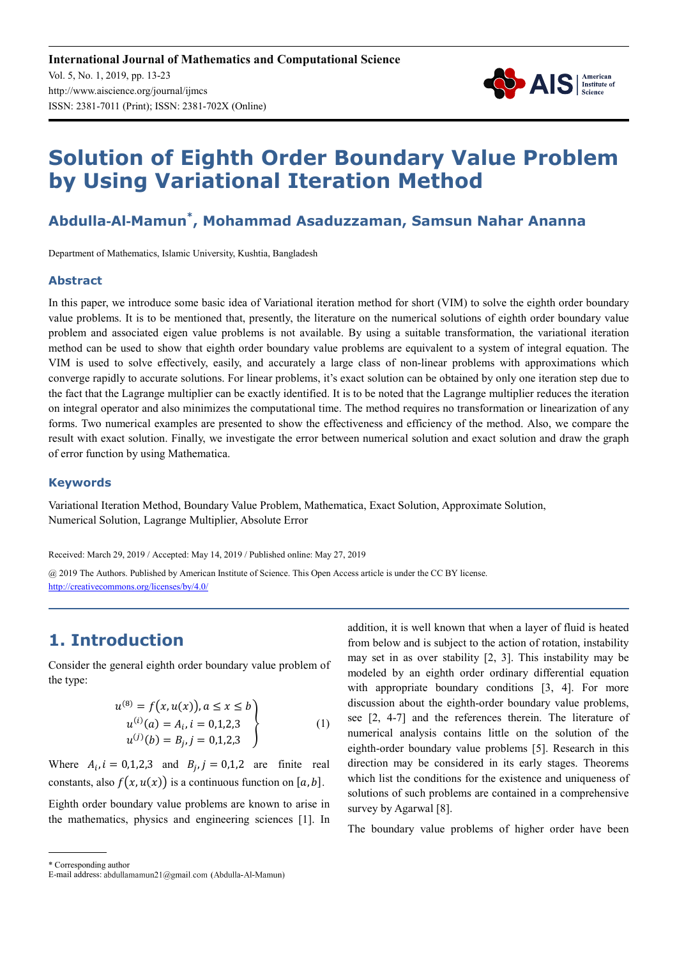

# **Solution of Eighth Order Boundary Value Problem by Using Variational Iteration Method**

## **Abdulla**-**Al**-**Mamun\* , Mohammad Asaduzzaman, Samsun Nahar Ananna**

Department of Mathematics, Islamic University, Kushtia, Bangladesh

#### **Abstract**

In this paper, we introduce some basic idea of Variational iteration method for short (VIM) to solve the eighth order boundary value problems. It is to be mentioned that, presently, the literature on the numerical solutions of eighth order boundary value problem and associated eigen value problems is not available. By using a suitable transformation, the variational iteration method can be used to show that eighth order boundary value problems are equivalent to a system of integral equation. The VIM is used to solve effectively, easily, and accurately a large class of non-linear problems with approximations which converge rapidly to accurate solutions. For linear problems, it's exact solution can be obtained by only one iteration step due to the fact that the Lagrange multiplier can be exactly identified. It is to be noted that the Lagrange multiplier reduces the iteration on integral operator and also minimizes the computational time. The method requires no transformation or linearization of any forms. Two numerical examples are presented to show the effectiveness and efficiency of the method. Also, we compare the result with exact solution. Finally, we investigate the error between numerical solution and exact solution and draw the graph of error function by using Mathematica.

#### **Keywords**

Variational Iteration Method, Boundary Value Problem, Mathematica, Exact Solution, Approximate Solution, Numerical Solution, Lagrange Multiplier, Absolute Error

Received: March 29, 2019 / Accepted: May 14, 2019 / Published online: May 27, 2019

@ 2019 The Authors. Published by American Institute of Science. This Open Access article is under the CC BY license. http://creativecommons.org/licenses/by/4.0/

# **1. Introduction**

Consider the general eighth order boundary value problem of the type:

$$
u^{(8)} = f(x, u(x)), a \le x \le b
$$
  
\n
$$
u^{(i)}(a) = A_i, i = 0,1,2,3
$$
  
\n
$$
u^{(j)}(b) = B_j, j = 0,1,2,3
$$
\n(1)

Where  $A_i$ ,  $i = 0,1,2,3$  and  $B_j$ ,  $j = 0,1,2$  are finite real constants, also  $f(x, u(x))$  is a continuous function on [a, b].

Eighth order boundary value problems are known to arise in the mathematics, physics and engineering sciences [1]. In addition, it is well known that when a layer of fluid is heated from below and is subject to the action of rotation, instability may set in as over stability [2, 3]. This instability may be modeled by an eighth order ordinary differential equation with appropriate boundary conditions [3, 4]. For more discussion about the eighth-order boundary value problems, see [2, 4-7] and the references therein. The literature of numerical analysis contains little on the solution of the eighth-order boundary value problems [5]. Research in this direction may be considered in its early stages. Theorems which list the conditions for the existence and uniqueness of solutions of such problems are contained in a comprehensive survey by Agarwal [8].

The boundary value problems of higher order have been

\* Corresponding author

E-mail address: abdullamamun21@gmail.com (Abdulla-Al-Mamun)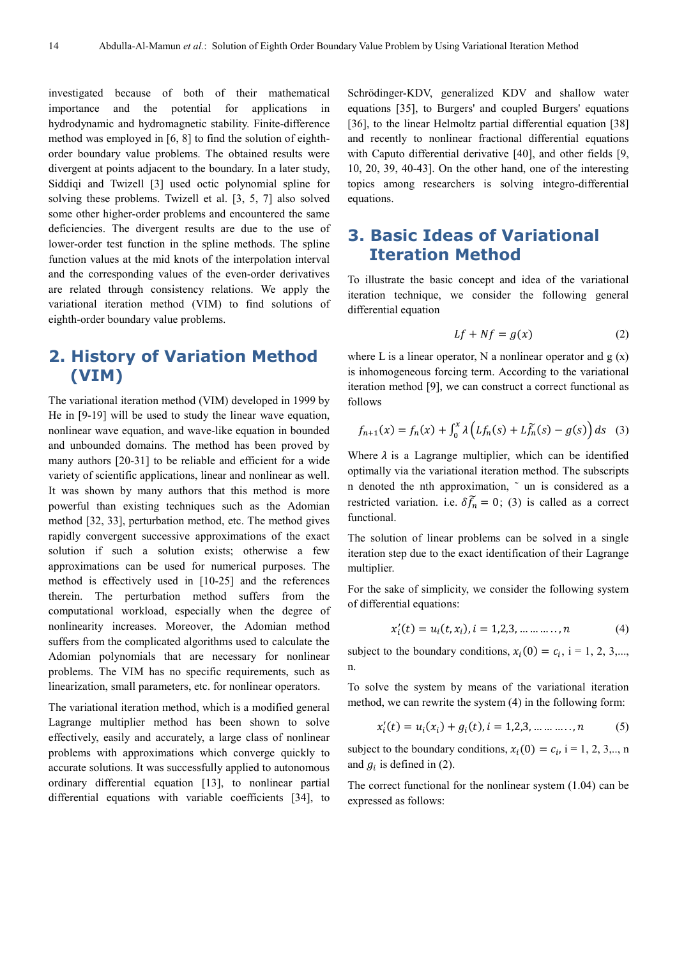investigated because of both of their mathematical importance and the potential for applications in hydrodynamic and hydromagnetic stability. Finite-difference method was employed in [6, 8] to find the solution of eighthorder boundary value problems. The obtained results were divergent at points adjacent to the boundary. In a later study, Siddiqi and Twizell [3] used octic polynomial spline for solving these problems. Twizell et al. [3, 5, 7] also solved some other higher-order problems and encountered the same deficiencies. The divergent results are due to the use of lower-order test function in the spline methods. The spline function values at the mid knots of the interpolation interval and the corresponding values of the even-order derivatives are related through consistency relations. We apply the variational iteration method (VIM) to find solutions of eighth-order boundary value problems.

# **2. History of Variation Method (VIM)**

The variational iteration method (VIM) developed in 1999 by He in [9-19] will be used to study the linear wave equation, nonlinear wave equation, and wave-like equation in bounded and unbounded domains. The method has been proved by many authors [20-31] to be reliable and efficient for a wide variety of scientific applications, linear and nonlinear as well. It was shown by many authors that this method is more powerful than existing techniques such as the Adomian method [32, 33], perturbation method, etc. The method gives rapidly convergent successive approximations of the exact solution if such a solution exists; otherwise a few approximations can be used for numerical purposes. The method is effectively used in [10-25] and the references therein. The perturbation method suffers from the computational workload, especially when the degree of nonlinearity increases. Moreover, the Adomian method suffers from the complicated algorithms used to calculate the Adomian polynomials that are necessary for nonlinear problems. The VIM has no specific requirements, such as linearization, small parameters, etc. for nonlinear operators.

The variational iteration method, which is a modified general Lagrange multiplier method has been shown to solve effectively, easily and accurately, a large class of nonlinear problems with approximations which converge quickly to accurate solutions. It was successfully applied to autonomous ordinary differential equation [13], to nonlinear partial differential equations with variable coefficients [34], to

Schrödinger-KDV, generalized KDV and shallow water equations [35], to Burgers' and coupled Burgers' equations [36], to the linear Helmoltz partial differential equation [38] and recently to nonlinear fractional differential equations with Caputo differential derivative [40], and other fields [9, 10, 20, 39, 40-43]. On the other hand, one of the interesting topics among researchers is solving integro-differential equations.

# **3. Basic Ideas of Variational Iteration Method**

To illustrate the basic concept and idea of the variational iteration technique, we consider the following general differential equation

$$
Lf + Nf = g(x) \tag{2}
$$

where L is a linear operator, N a nonlinear operator and  $g(x)$ is inhomogeneous forcing term. According to the variational iteration method [9], we can construct a correct functional as follows

$$
f_{n+1}(x) = f_n(x) + \int_0^x \lambda \left( Lf_n(s) + Lf_n(s) - g(s) \right) ds \quad (3)
$$

Where  $\lambda$  is a Lagrange multiplier, which can be identified optimally via the variational iteration method. The subscripts n denoted the nth approximation, ~ un is considered as a restricted variation. i.e.  $\delta f_n = 0$ ; (3) is called as a correct functional.

The solution of linear problems can be solved in a single iteration step due to the exact identification of their Lagrange multiplier.

For the sake of simplicity, we consider the following system of differential equations:

$$
x'_{i}(t) = u_{i}(t, x_{i}), i = 1, 2, 3, \dots \dots \dots, n
$$
 (4)

subject to the boundary conditions,  $x_i(0) = c_i$ , i = 1, 2, 3,..., n.

To solve the system by means of the variational iteration method, we can rewrite the system (4) in the following form:

$$
x'_{i}(t) = u_{i}(x_{i}) + g_{i}(t), i = 1,2,3,......,n
$$
 (5)

subject to the boundary conditions,  $x_i(0) = c_i$ , i = 1, 2, 3,.., n and  $g_i$  is defined in (2).

The correct functional for the nonlinear system (1.04) can be expressed as follows: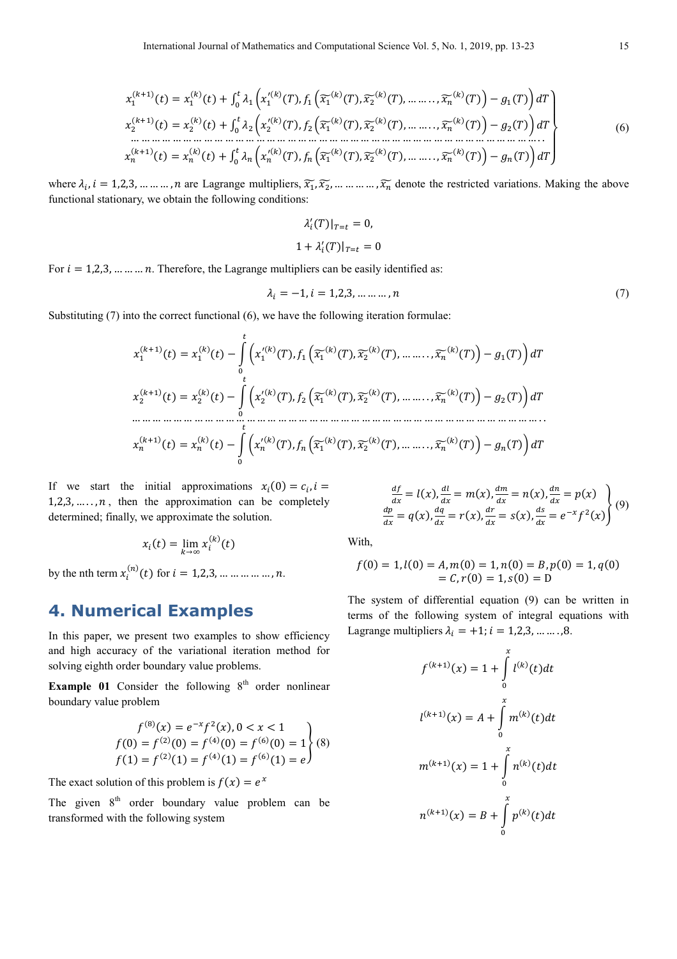" (4!") (/) = " (4) (/) + # \$" 5 " .(4) (6), " ' 7" (4) (6), 7<sup>8</sup> (4) (6), … … . . , 7 (4) (6)+ − " (6)9 : & ,6 8 (4!") (/) = <sup>8</sup> (4) (/) + # \$<sup>8</sup> 5 <sup>8</sup> .(4) (6), <sup>8</sup> ' 7" (4) (6), 7<sup>8</sup> (4) (6), … … . . , 7 (4) (6)+ − <sup>8</sup> (6)9 : & ,6 … … … … … … … … … … … … … … … … … … … … … … … … … … … … … … … … … … … … … … … . . (4!") (/) = (4) (/) + # \$ 5 .(4) (6), ' 7" (4) (6), 7<sup>8</sup> (4) (6), … … . . , 7 (4) (6)+ − (6)9 : & ,6; < = < > (6)

where  $\lambda_i$ ,  $i = 1,2,3,...,...,n$  are Lagrange multipliers,  $\widetilde{x_1}, \widetilde{x_2},...,..., \widetilde{x_n}$  denote the restricted variations. Making the above functional stationary, we obtain the following conditions:

$$
\lambda_i'(T)|_{T=t} = 0,
$$
  

$$
1 + \lambda_i'(T)|_{T=t} = 0
$$

For  $i = 1,2,3,...,...,n$ . Therefore, the Lagrange multipliers can be easily identified as:

$$
\lambda_i = -1, i = 1, 2, 3, \dots, n \tag{7}
$$

Substituting (7) into the correct functional (6), we have the following iteration formulae:

 " (4!") (/) = " (4) (/) − B 5 " .(4) (6), " ' 7" (4) (6), 7<sup>8</sup> (4) (6), … … . . , 7 (4) (6)+ − " (6)9 : & ,6 8 (4!") (/) = <sup>8</sup> (4) (/)− B 5 <sup>8</sup> .(4) (6), <sup>8</sup> ' 7" (4) (6), 7<sup>8</sup> (4) (6), … … . . , 7 (4) (6)+ − <sup>8</sup> (6)9 : & ,6 … … … … … … … … … … … … … … … … … … … … … … … … … … … … … … … … … … … … … … … . . (4!") (/) = (4) (/) − B 5 .(4) (6), ' 7" (4) (6), 7<sup>8</sup> (4) (6), … … . . , 7 (4) (6)+ − (6)9 : & ,6

If we start the initial approximations  $x_i(0) = c_i$ ,  $i =$ 1,2,3, ....,  $n$ , then the approximation can be completely determined; finally, we approximate the solution.

$$
x_i(t) = \lim_{k \to \infty} x_i^{(k)}(t)
$$

by the nth term  $x_i^{(n)}(t)$  for  $i = 1,2,3,...,...,...,n$ .

# **4. Numerical Examples**

In this paper, we present two examples to show efficiency and high accuracy of the variational iteration method for solving eighth order boundary value problems.

**Example 01** Consider the following  $8<sup>th</sup>$  order nonlinear boundary value problem

$$
f^{(8)}(x) = e^{-x} f^{2}(x), 0 < x < 1
$$
  
\n
$$
f(0) = f^{(2)}(0) = f^{(4)}(0) = f^{(6)}(0) = 1
$$
  
\n
$$
f(1) = f^{(2)}(1) = f^{(4)}(1) = f^{(6)}(1) = e
$$
 (8)

The exact solution of this problem is  $f(x) = e^x$ 

The given  $8<sup>th</sup>$  order boundary value problem can be transformed with the following system

$$
\frac{df}{dx} = l(x), \frac{dl}{dx} = m(x), \frac{dm}{dx} = n(x), \frac{dn}{dx} = p(x)
$$
\n
$$
\frac{dp}{dx} = q(x), \frac{dq}{dx} = r(x), \frac{dr}{dx} = s(x), \frac{ds}{dx} = e^{-x}f^2(x)
$$
\n(9)

With,

$$
f(0) = 1, l(0) = A, m(0) = 1, n(0) = B, p(0) = 1, q(0)
$$
  
= C, r(0) = 1, s(0) = D

The system of differential equation (9) can be written in terms of the following system of integral equations with Lagrange multipliers \$ = +1; = 1,2,3, … … . ,8.

$$
f^{(k+1)}(x) = 1 + \int_{0}^{x} l^{(k)}(t)dt
$$

$$
l^{(k+1)}(x) = A + \int_{0}^{x} m^{(k)}(t)dt
$$

$$
m^{(k+1)}(x) = 1 + \int_{0}^{x} n^{(k)}(t)dt
$$

$$
n^{(k+1)}(x) = B + \int_{0}^{x} p^{(k)}(t)dt
$$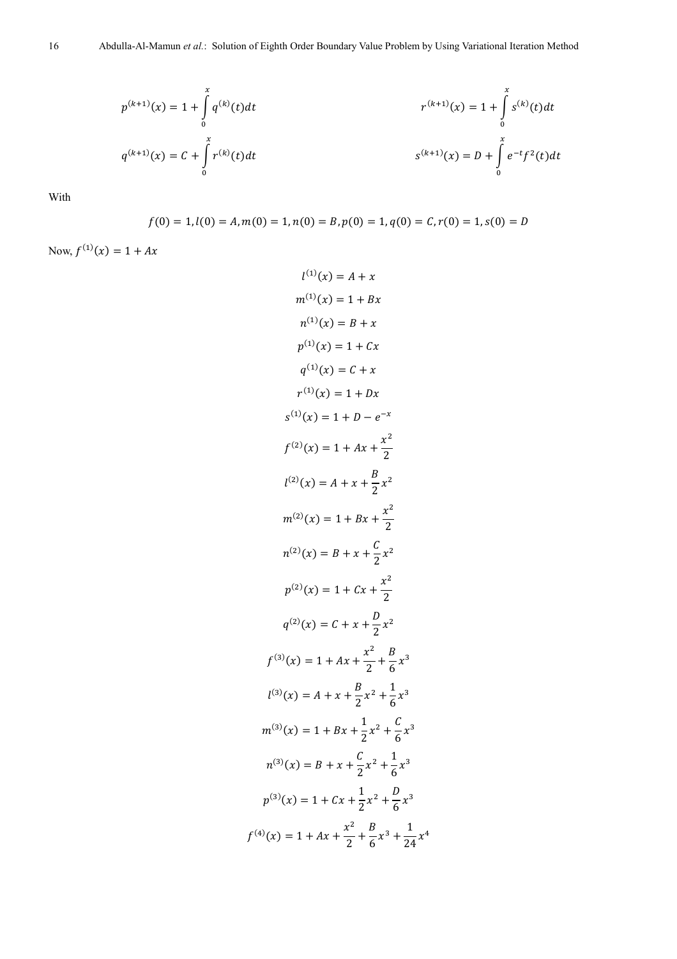$$
p^{(k+1)}(x) = 1 + \int_{0}^{x} q^{(k)}(t)dt
$$
  
\n
$$
r^{(k+1)}(x) = 1 + \int_{0}^{x} s^{(k)}(t)dt
$$
  
\n
$$
r^{(k+1)}(x) = 1 + \int_{0}^{x} s^{(k)}(t)dt
$$
  
\n
$$
s^{(k+1)}(x) = D + \int_{0}^{x} e^{-t}f^{2}(t)dt
$$

With

$$
f(0) = 1, l(0) = A, m(0) = 1, n(0) = B, p(0) = 1, q(0) = C, r(0) = 1, s(0) = D
$$

Now,  $f^{(1)}(x) = 1 + Ax$ 

$$
l^{(1)}(x) = A + x
$$
  
\n
$$
m^{(1)}(x) = 1 + Bx
$$
  
\n
$$
n^{(1)}(x) = B + x
$$
  
\n
$$
p^{(1)}(x) = 1 + Cx
$$
  
\n
$$
q^{(1)}(x) = C + x
$$
  
\n
$$
r^{(1)}(x) = 1 + Dx
$$
  
\n
$$
s^{(1)}(x) = 1 + D - e^{-x}
$$
  
\n
$$
f^{(2)}(x) = 1 + Ax + \frac{x^2}{2}
$$
  
\n
$$
l^{(2)}(x) = A + x + \frac{B}{2}x^2
$$
  
\n
$$
m^{(2)}(x) = 1 + Bx + \frac{x^2}{2}
$$
  
\n
$$
n^{(2)}(x) = B + x + \frac{C}{2}x^2
$$
  
\n
$$
p^{(2)}(x) = C + x + \frac{D}{2}x^2
$$
  
\n
$$
f^{(3)}(x) = 1 + Ax + \frac{x^2}{2} + \frac{B}{6}x^3
$$
  
\n
$$
l^{(3)}(x) = A + x + \frac{B}{2}x^2 + \frac{1}{6}x^3
$$
  
\n
$$
n^{(3)}(x) = 1 + Bx + \frac{1}{2}x^2 + \frac{C}{6}x^3
$$
  
\n
$$
n^{(3)}(x) = B + x + \frac{C}{2}x^2 + \frac{1}{6}x^3
$$
  
\n
$$
n^{(3)}(x) = 1 + Cx + \frac{1}{2}x^2 + \frac{C}{6}x^3
$$
  
\n
$$
p^{(3)}(x) = 1 + Cx + \frac{1}{2}x^2 + \frac{B}{6}x^3
$$
  
\n
$$
p^{(3)}(x) = 1 + Cx + \frac{1}{2}x^2 + \frac{B}{6}x^3 + \frac{1}{24}x^4
$$

 $f^{(4)}$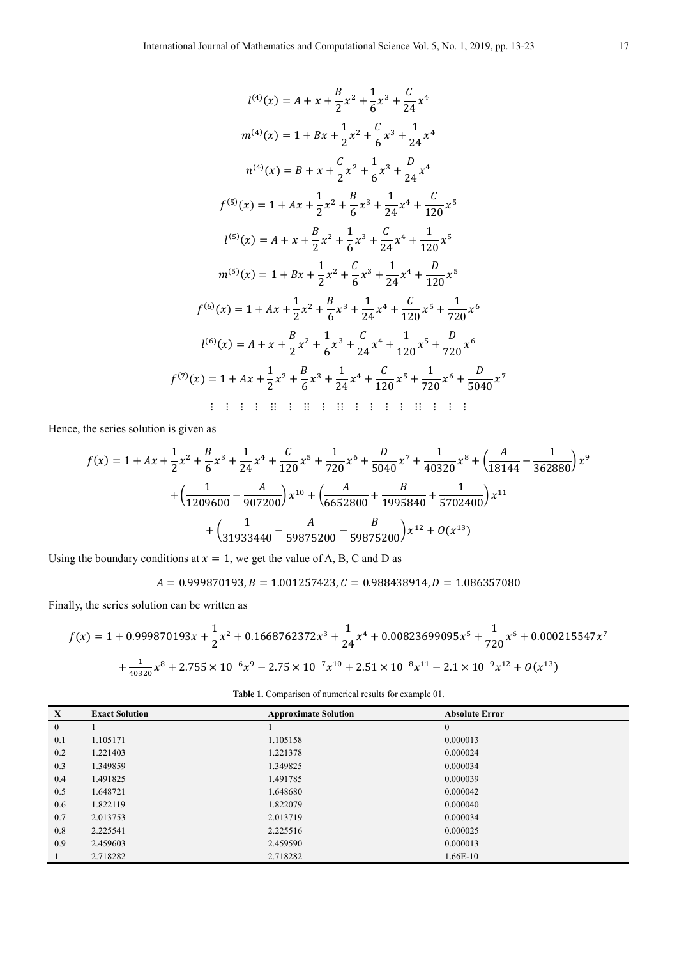$$
l^{(4)}(x) = A + x + \frac{B}{2}x^{2} + \frac{1}{6}x^{3} + \frac{C}{24}x^{4}
$$
\n
$$
m^{(4)}(x) = 1 + Bx + \frac{1}{2}x^{2} + \frac{C}{6}x^{3} + \frac{1}{24}x^{4}
$$
\n
$$
n^{(4)}(x) = B + x + \frac{C}{2}x^{2} + \frac{1}{6}x^{3} + \frac{D}{24}x^{4}
$$
\n
$$
f^{(5)}(x) = 1 + Ax + \frac{1}{2}x^{2} + \frac{B}{6}x^{3} + \frac{1}{24}x^{4} + \frac{C}{120}x^{5}
$$
\n
$$
l^{(5)}(x) = A + x + \frac{B}{2}x^{2} + \frac{1}{6}x^{3} + \frac{C}{24}x^{4} + \frac{1}{120}x^{5}
$$
\n
$$
m^{(5)}(x) = 1 + Bx + \frac{1}{2}x^{2} + \frac{C}{6}x^{3} + \frac{1}{24}x^{4} + \frac{D}{120}x^{5}
$$
\n
$$
f^{(6)}(x) = 1 + Ax + \frac{1}{2}x^{2} + \frac{B}{6}x^{3} + \frac{1}{24}x^{4} + \frac{C}{120}x^{5} + \frac{1}{720}x^{6}
$$
\n
$$
l^{(6)}(x) = A + x + \frac{B}{2}x^{2} + \frac{1}{6}x^{3} + \frac{C}{24}x^{4} + \frac{1}{120}x^{5} + \frac{D}{720}x^{6}
$$
\n
$$
f^{(7)}(x) = 1 + Ax + \frac{1}{2}x^{2} + \frac{B}{6}x^{3} + \frac{1}{24}x^{4} + \frac{C}{120}x^{5} + \frac{1}{720}x^{6}
$$
\n
$$
f^{(7)}(x) = 1 + Ax + \frac{1}{2}x^{2} + \frac{B}{6}x^{3} + \frac{1}{24}x^{4} + \frac{C}{120}x^{5} + \frac{C}{720}x^{6}
$$
\n
$$
f^{(7)}(x) = 1 + Bx + \frac
$$

Hence, the series solution is given as

$$
f(x) = 1 + Ax + \frac{1}{2}x^2 + \frac{B}{6}x^3 + \frac{1}{24}x^4 + \frac{C}{120}x^5 + \frac{1}{720}x^6 + \frac{D}{5040}x^7 + \frac{1}{40320}x^8 + \left(\frac{A}{18144} - \frac{1}{362880}\right)x^9
$$

$$
+ \left(\frac{1}{1209600} - \frac{A}{907200}\right)x^{10} + \left(\frac{A}{6652800} + \frac{B}{1995840} + \frac{1}{5702400}\right)x^{11}
$$

$$
+ \left(\frac{1}{31933440} - \frac{A}{59875200} - \frac{B}{59875200}\right)x^{12} + O(x^{13})
$$

Using the boundary conditions at  $x = 1$ , we get the value of A, B, C and D as

 $A = 0.999870193, B = 1.001257423, C = 0.988438914, D = 1.086357080$ 

Finally, the series solution can be written as

$$
f(x) = 1 + 0.999870193x + \frac{1}{2}x^2 + 0.1668762372x^3 + \frac{1}{24}x^4 + 0.00823699095x^5 + \frac{1}{720}x^6 + 0.000215547x^7
$$

$$
+ \frac{1}{40320}x^8 + 2.755 \times 10^{-6}x^9 - 2.75 \times 10^{-7}x^{10} + 2.51 \times 10^{-8}x^{11} - 2.1 \times 10^{-9}x^{12} + O(x^{13})
$$

| <b>Table 1.</b> Comparison of numerical results for example 01. |  |  |
|-----------------------------------------------------------------|--|--|
|                                                                 |  |  |

| $\mathbf{X}$     | <b>Exact Solution</b> | <b>Approximate Solution</b> | <b>Absolute Error</b> |
|------------------|-----------------------|-----------------------------|-----------------------|
| $\boldsymbol{0}$ |                       |                             | $\boldsymbol{0}$      |
| 0.1              | 1.105171              | 1.105158                    | 0.000013              |
| 0.2              | 1.221403              | 1.221378                    | 0.000024              |
| 0.3              | 1.349859              | 1.349825                    | 0.000034              |
| 0.4              | 1.491825              | 1.491785                    | 0.000039              |
| 0.5              | 1.648721              | 1.648680                    | 0.000042              |
| 0.6              | 1.822119              | 1.822079                    | 0.000040              |
| 0.7              | 2.013753              | 2.013719                    | 0.000034              |
| 0.8              | 2.225541              | 2.225516                    | 0.000025              |
| 0.9              | 2.459603              | 2.459590                    | 0.000013              |
|                  | 2.718282              | 2.718282                    | 1.66E-10              |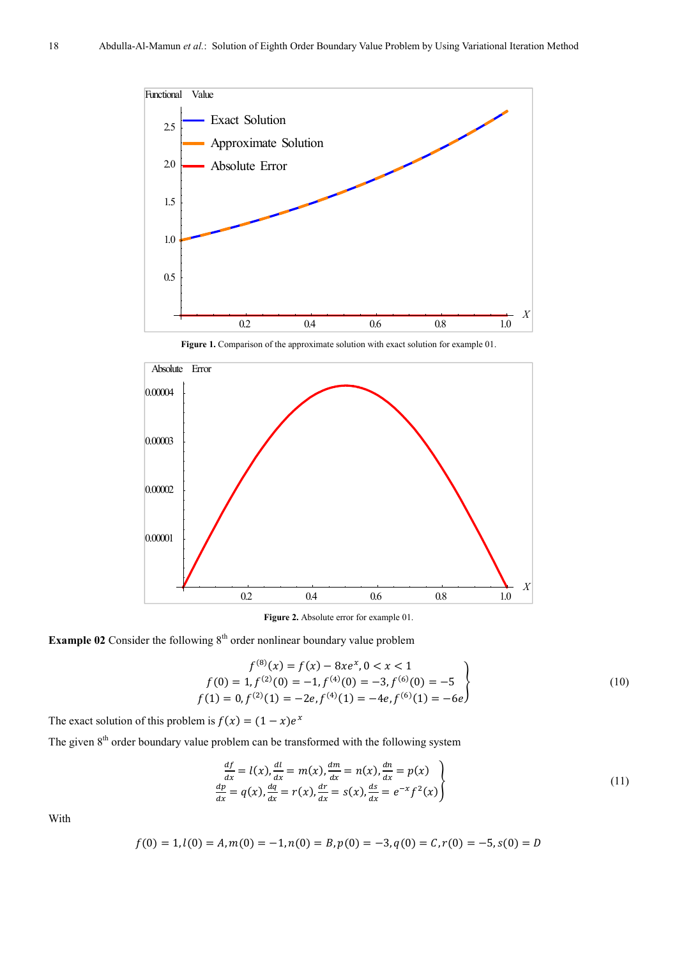

Figure 1. Comparison of the approximate solution with exact solution for example 01.



**Figure 2.** Absolute error for example 01.

**Example 02** Consider the following  $8<sup>th</sup>$  order nonlinear boundary value problem

$$
f^{(8)}(x) = f(x) - 8xe^{x}, 0 < x < 1
$$
  
\n
$$
f(0) = 1, f^{(2)}(0) = -1, f^{(4)}(0) = -3, f^{(6)}(0) = -5
$$
  
\n
$$
f(1) = 0, f^{(2)}(1) = -2e, f^{(4)}(1) = -4e, f^{(6)}(1) = -6e
$$
\n(10)

The exact solution of this problem is  $f(x) = (1 - x)e^x$ 

The given  $8<sup>th</sup>$  order boundary value problem can be transformed with the following system

$$
\frac{df}{dx} = l(x), \frac{dl}{dx} = m(x), \frac{dm}{dx} = n(x), \frac{dn}{dx} = p(x)
$$
\n
$$
\frac{dp}{dx} = q(x), \frac{dq}{dx} = r(x), \frac{dr}{dx} = s(x), \frac{ds}{dx} = e^{-x}f^{2}(x)
$$
\n(11)

With

$$
f(0) = 1, l(0) = A, m(0) = -1, n(0) = B, p(0) = -3, q(0) = C, r(0) = -5, s(0) = D
$$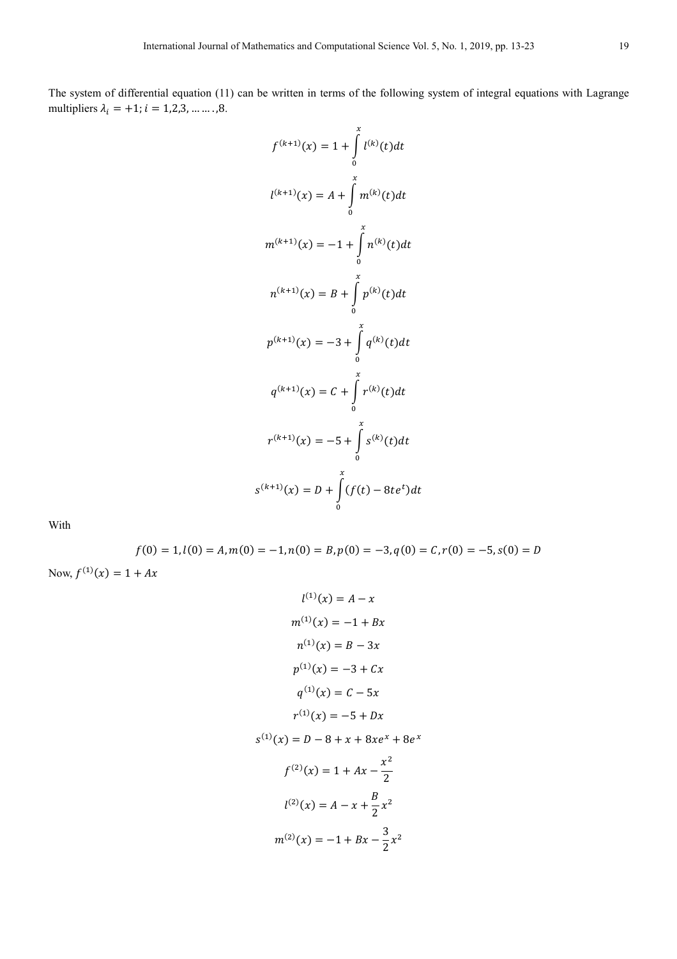The system of differential equation (11) can be written in terms of the following system of integral equations with Lagrange multipliers  $\lambda_i = +1; i = 1, 2, 3, \dots, 8$ .

$$
f^{(k+1)}(x) = 1 + \int_{0}^{x} l^{(k)}(t)dt
$$
  

$$
l^{(k+1)}(x) = A + \int_{0}^{x} m^{(k)}(t)dt
$$
  

$$
m^{(k+1)}(x) = -1 + \int_{0}^{x} n^{(k)}(t)dt
$$
  

$$
n^{(k+1)}(x) = B + \int_{0}^{x} p^{(k)}(t)dt
$$
  

$$
p^{(k+1)}(x) = -3 + \int_{0}^{x} q^{(k)}(t)dt
$$
  

$$
q^{(k+1)}(x) = C + \int_{0}^{x} r^{(k)}(t)dt
$$
  

$$
r^{(k+1)}(x) = -5 + \int_{0}^{x} s^{(k)}(t)dt
$$
  

$$
s^{(k+1)}(x) = D + \int_{0}^{x} (f(t) - 8te^{t})dt
$$

With

$$
f(0) = 1, l(0) = A, m(0) = -1, n(0) = B, p(0) = -3, q(0) = C, r(0) = -5, s(0) = D
$$
  
Now,  $f^{(1)}(x) = 1 + Ax$ 

$$
l^{(1)}(x) = A - x
$$
  
\n
$$
m^{(1)}(x) = -1 + Bx
$$
  
\n
$$
n^{(1)}(x) = B - 3x
$$
  
\n
$$
p^{(1)}(x) = -3 + Cx
$$
  
\n
$$
q^{(1)}(x) = C - 5x
$$
  
\n
$$
r^{(1)}(x) = -5 + Dx
$$

 $s^{(1)}(x) = D - 8 + x + 8xe^{x} + 8e^{x}$ 

$$
f^{(2)}(x) = 1 + Ax - \frac{x^2}{2}
$$

$$
l^{(2)}(x) = A - x + \frac{B}{2}x^2
$$

$$
m^{(2)}(x) = -1 + Bx - \frac{3}{2}x^2
$$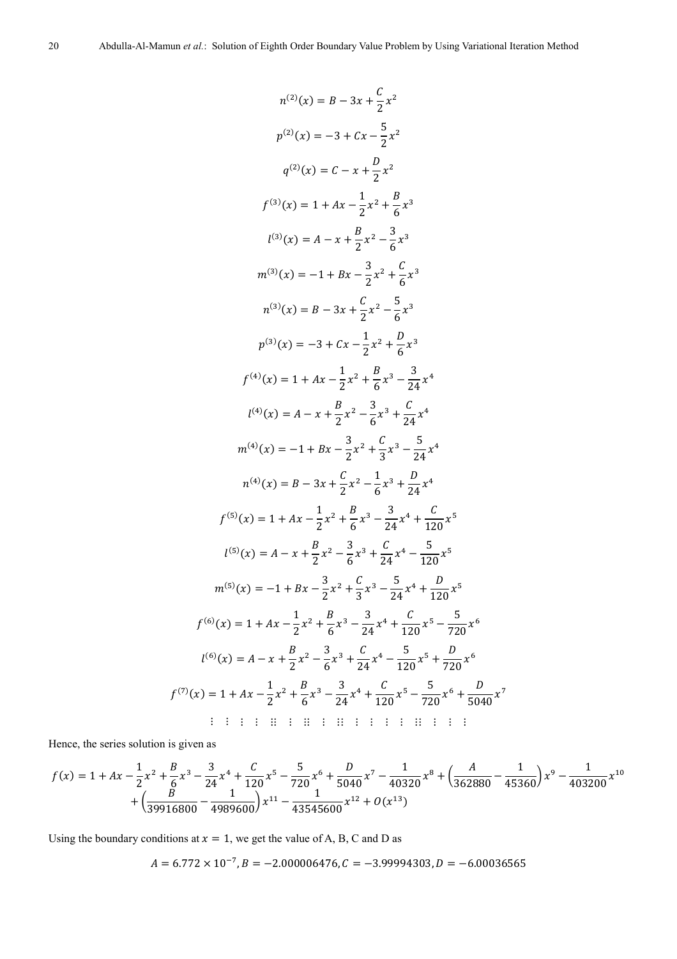$$
n^{(2)}(x) = B - 3x + \frac{C}{2}x^2
$$
  
\n
$$
p^{(2)}(x) = -3 + Cx - \frac{5}{2}x^2
$$
  
\n
$$
q^{(2)}(x) = C - x + \frac{D}{2}x^2
$$
  
\n
$$
f^{(3)}(x) = 1 + Ax - \frac{1}{2}x^2 + \frac{B}{6}x^3
$$
  
\n
$$
l^{(3)}(x) = A - x + \frac{B}{2}x^2 - \frac{3}{6}x^3
$$
  
\n
$$
m^{(3)}(x) = -1 + Bx - \frac{3}{2}x^2 + \frac{C}{6}x^3
$$
  
\n
$$
n^{(3)}(x) = B - 3x + \frac{C}{2}x^2 - \frac{5}{6}x^3
$$
  
\n
$$
p^{(3)}(x) = -3 + Cx - \frac{1}{2}x^2 + \frac{D}{6}x^3
$$
  
\n
$$
f^{(4)}(x) = 1 + Ax - \frac{1}{2}x^2 + \frac{B}{6}x^3 - \frac{3}{24}x^4
$$
  
\n
$$
l^{(4)}(x) = A - x + \frac{B}{2}x^2 - \frac{3}{6}x^3 + \frac{C}{24}x^4
$$
  
\n
$$
m^{(4)}(x) = -1 + Bx - \frac{3}{2}x^2 + \frac{C}{3}x^3 - \frac{5}{24}x^4
$$
  
\n
$$
n^{(4)}(x) = B - 3x + \frac{C}{2}x^2 - \frac{1}{6}x^3 + \frac{D}{24}x^4
$$
  
\n
$$
f^{(5)}(x) = 1 + Ax - \frac{1}{2}x^2 + \frac{B}{6}x^3 - \frac{3}{24}x^4 + \frac{C}{120}x^5
$$
  
\n
$$
l^{(5)}(x) = A - x + \frac{B}{2}x^2 - \frac{3}{6}x^3 + \frac{C}{24}x^4 - \frac{5}{120}x^5
$$
  
\n
$$
n^{(6)}(x) = -1 + Bx - \frac{3}{2}x^2 + \frac{C}{6}
$$

Hence, the series solution is given as

$$
f(x) = 1 + Ax - \frac{1}{2}x^2 + \frac{B}{6}x^3 - \frac{3}{24}x^4 + \frac{C}{120}x^5 - \frac{5}{720}x^6 + \frac{D}{5040}x^7 - \frac{1}{40320}x^8 + \left(\frac{A}{362880} - \frac{1}{45360}\right)x^9 - \frac{1}{403200}x^{10} + \left(\frac{B}{39916800} - \frac{1}{4989600}\right)x^{11} - \frac{1}{43545600}x^{12} + O(x^{13})
$$

Using the boundary conditions at  $x = 1$ , we get the value of A, B, C and D as

 $A = 6.772 \times 10^{-7}, B = -2.000006476, C = -3.99994303, D = -6.00036565$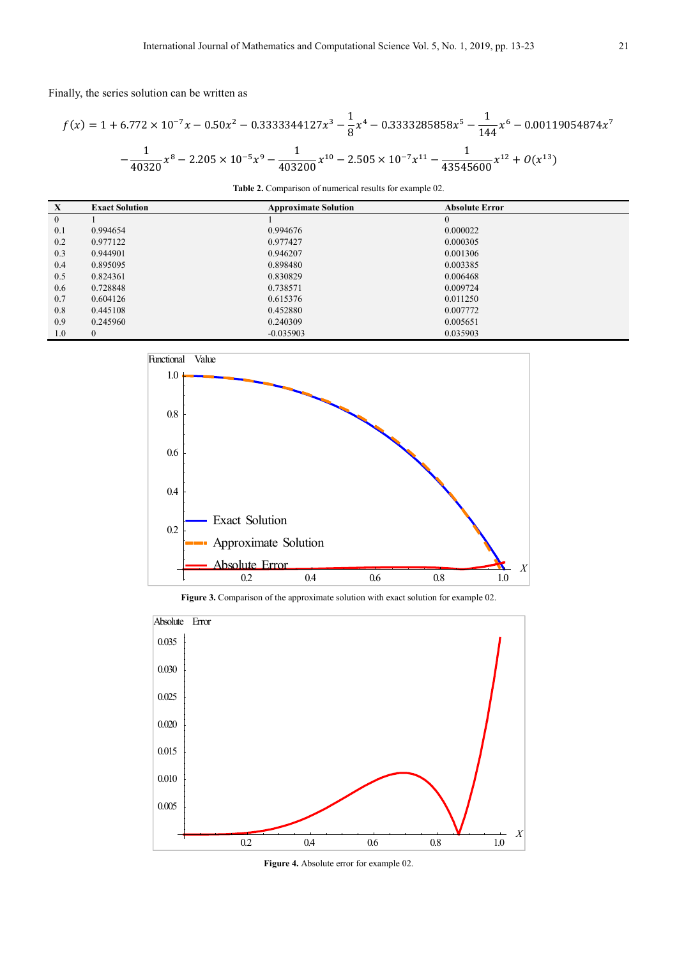Finally, the series solution can be written as

$$
f(x) = 1 + 6.772 \times 10^{-7} x - 0.50x^2 - 0.3333344127x^3 - \frac{1}{8}x^4 - 0.3333285858x^5 - \frac{1}{144}x^6 - 0.00119054874x^7 - \frac{1}{40320}x^8 - 2.205 \times 10^{-5}x^9 - \frac{1}{403200}x^{10} - 2.505 \times 10^{-7}x^{11} - \frac{1}{43545600}x^{12} + O(x^{13})
$$

| <b>Table 2.</b> Comparison of numerical results for example 02. |                             |                       |  |  |
|-----------------------------------------------------------------|-----------------------------|-----------------------|--|--|
|                                                                 | <b>Approximate Solution</b> | <b>Absolute Error</b> |  |  |
|                                                                 |                             |                       |  |  |

| $\mathbf{X}$ | <b>Exact Solution</b> | <b>Approximate Solution</b> | <b>Absolute Error</b> |
|--------------|-----------------------|-----------------------------|-----------------------|
| $\mathbf{0}$ |                       |                             | $\Omega$              |
| 0.1          | 0.994654              | 0.994676                    | 0.000022              |
| 0.2          | 0.977122              | 0.977427                    | 0.000305              |
| 0.3          | 0.944901              | 0.946207                    | 0.001306              |
| 0.4          | 0.895095              | 0.898480                    | 0.003385              |
| 0.5          | 0.824361              | 0.830829                    | 0.006468              |
| 0.6          | 0.728848              | 0.738571                    | 0.009724              |
| 0.7          | 0.604126              | 0.615376                    | 0.011250              |
| 0.8          | 0.445108              | 0.452880                    | 0.007772              |
| 0.9          | 0.245960              | 0.240309                    | 0.005651              |
| 1.0          |                       | $-0.035903$                 | 0.035903              |



**Figure 3.** Comparison of the approximate solution with exact solution for example 02.



**Figure 4.** Absolute error for example 02.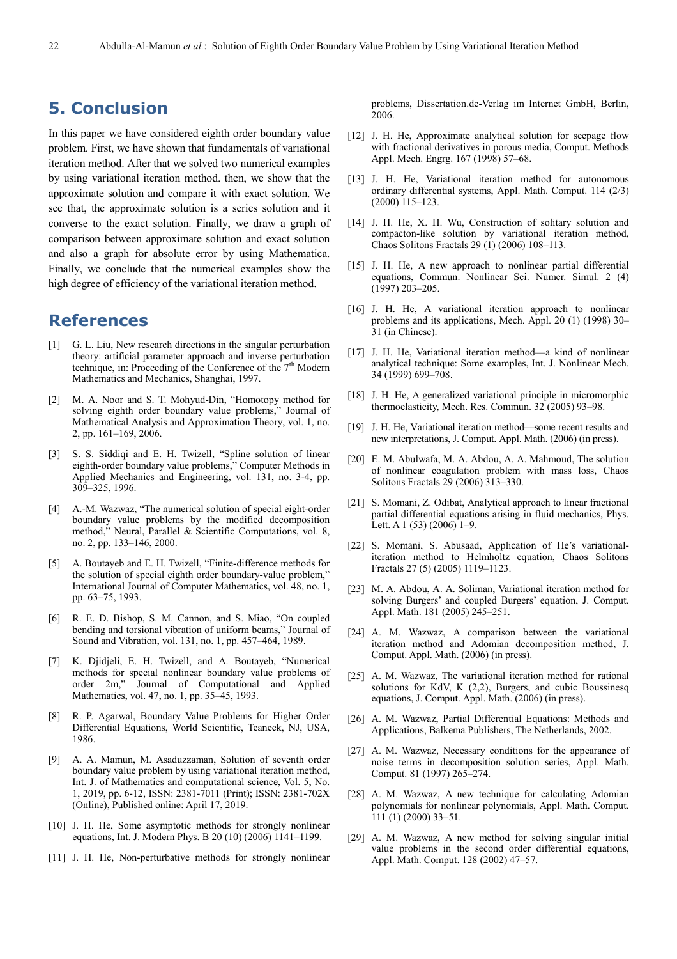### **5. Conclusion**

In this paper we have considered eighth order boundary value problem. First, we have shown that fundamentals of variational iteration method. After that we solved two numerical examples by using variational iteration method. then, we show that the approximate solution and compare it with exact solution. We see that, the approximate solution is a series solution and it converse to the exact solution. Finally, we draw a graph of comparison between approximate solution and exact solution and also a graph for absolute error by using Mathematica. Finally, we conclude that the numerical examples show the high degree of efficiency of the variational iteration method.

### **References**

- [1] G. L. Liu, New research directions in the singular perturbation theory: artificial parameter approach and inverse perturbation technique, in: Proceeding of the Conference of the  $7<sup>th</sup>$  Modern Mathematics and Mechanics, Shanghai, 1997.
- [2] M. A. Noor and S. T. Mohyud-Din, "Homotopy method for solving eighth order boundary value problems," Journal of Mathematical Analysis and Approximation Theory, vol. 1, no. 2, pp. 161–169, 2006.
- [3] S. S. Siddiqi and E. H. Twizell, "Spline solution of linear eighth-order boundary value problems," Computer Methods in Applied Mechanics and Engineering, vol. 131, no. 3-4, pp. 309–325, 1996.
- [4] A.-M. Wazwaz, "The numerical solution of special eight-order boundary value problems by the modified decomposition method," Neural, Parallel & Scientific Computations, vol. 8, no. 2, pp. 133–146, 2000.
- [5] A. Boutayeb and E. H. Twizell, "Finite-difference methods for the solution of special eighth order boundary-value problem,' International Journal of Computer Mathematics, vol. 48, no. 1, pp. 63–75, 1993.
- [6] R. E. D. Bishop, S. M. Cannon, and S. Miao, "On coupled bending and torsional vibration of uniform beams," Journal of Sound and Vibration, vol. 131, no. 1, pp. 457–464, 1989.
- [7] K. Djidjeli, E. H. Twizell, and A. Boutayeb, "Numerical methods for special nonlinear boundary value problems of order 2m," Journal of Computational and Applied Mathematics, vol. 47, no. 1, pp. 35–45, 1993.
- [8] R. P. Agarwal, Boundary Value Problems for Higher Order Differential Equations, World Scientific, Teaneck, NJ, USA, 1986.
- [9] A. A. Mamun, M. Asaduzzaman, Solution of seventh order boundary value problem by using variational iteration method, Int. J. of Mathematics and computational science, Vol. 5, No. 1, 2019, pp. 6-12, ISSN: 2381-7011 (Print); ISSN: 2381-702X (Online), Published online: April 17, 2019.
- [10] J. H. He, Some asymptotic methods for strongly nonlinear equations, Int. J. Modern Phys. B 20 (10) (2006) 1141–1199.
- [11] J. H. He, Non-perturbative methods for strongly nonlinear

problems, Dissertation.de-Verlag im Internet GmbH, Berlin, 2006.

- [12] J. H. He, Approximate analytical solution for seepage flow with fractional derivatives in porous media, Comput. Methods Appl. Mech. Engrg. 167 (1998) 57–68.
- [13] J. H. He, Variational iteration method for autonomous ordinary differential systems, Appl. Math. Comput. 114 (2/3) (2000) 115–123.
- [14] J. H. He, X. H. Wu, Construction of solitary solution and compacton-like solution by variational iteration method, Chaos Solitons Fractals 29 (1) (2006) 108–113.
- [15] J. H. He, A new approach to nonlinear partial differential equations, Commun. Nonlinear Sci. Numer. Simul. 2 (4) (1997) 203–205.
- [16] J. H. He, A variational iteration approach to nonlinear problems and its applications, Mech. Appl. 20 (1) (1998) 30– 31 (in Chinese).
- [17] J. H. He, Variational iteration method—a kind of nonlinear analytical technique: Some examples, Int. J. Nonlinear Mech. 34 (1999) 699–708.
- [18] J. H. He, A generalized variational principle in micromorphic thermoelasticity, Mech. Res. Commun. 32 (2005) 93–98.
- [19] J. H. He, Variational iteration method—some recent results and new interpretations, J. Comput. Appl. Math. (2006) (in press).
- [20] E. M. Abulwafa, M. A. Abdou, A. A. Mahmoud, The solution of nonlinear coagulation problem with mass loss, Chaos Solitons Fractals 29 (2006) 313–330.
- [21] S. Momani, Z. Odibat, Analytical approach to linear fractional partial differential equations arising in fluid mechanics, Phys. Lett. A  $1(53)(2006)$  1–9.
- [22] S. Momani, S. Abusaad, Application of He's variationaliteration method to Helmholtz equation, Chaos Solitons Fractals 27 (5) (2005) 1119–1123.
- [23] M. A. Abdou, A. A. Soliman, Variational iteration method for solving Burgers' and coupled Burgers' equation, J. Comput. Appl. Math. 181 (2005) 245–251.
- [24] A. M. Wazwaz, A comparison between the variational iteration method and Adomian decomposition method, J. Comput. Appl. Math. (2006) (in press).
- [25] A. M. Wazwaz, The variational iteration method for rational solutions for KdV, K (2,2), Burgers, and cubic Boussinesq equations, J. Comput. Appl. Math. (2006) (in press).
- [26] A. M. Wazwaz, Partial Differential Equations: Methods and Applications, Balkema Publishers, The Netherlands, 2002.
- [27] A. M. Wazwaz, Necessary conditions for the appearance of noise terms in decomposition solution series, Appl. Math. Comput. 81 (1997) 265–274.
- [28] A. M. Wazwaz, A new technique for calculating Adomian polynomials for nonlinear polynomials, Appl. Math. Comput. 111 (1) (2000) 33–51.
- [29] A. M. Wazwaz, A new method for solving singular initial value problems in the second order differential equations, Appl. Math. Comput. 128 (2002) 47–57.